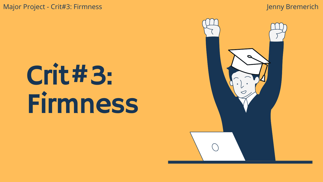Major Project - Crit#3: Firmness and a state of the state of the state of the state of the state of the state of the state of the state of the state of the state of the state of the state of the state of the state of the s

# Crit#3: Firmness

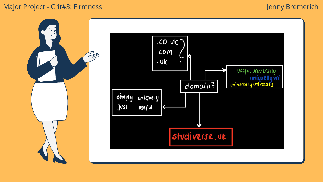

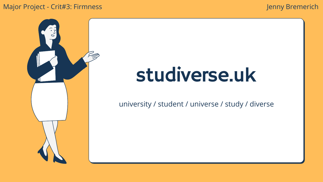## studiverse.uk

university / student / universe / study / diverse

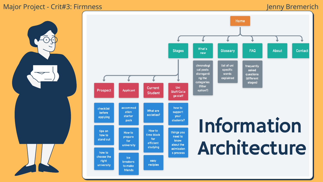

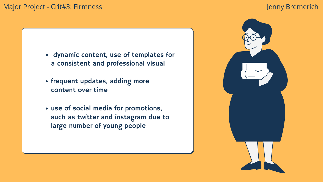

- frequent updates, adding more content over time
- use of social media for promotions, such as twitter and instagram due to large number of young people

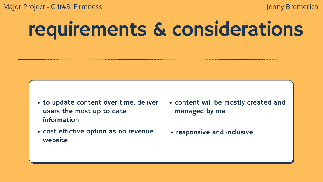## requirements & considerations

- to update content over time, deliver users the most up to date information managed by me
- cost effictive option as no revenue website

## content will be mostly created and

• responsive and inclusive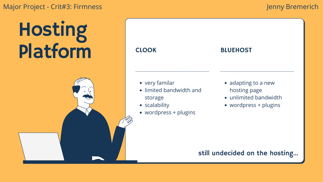## Hosting Platform

- limited bandwidth and storage
- scalability
- wordpress + plugins

#### very familar

## CLOOK

### BLUEHOST

- adapting to a new hosting page
- unlimited bandwidth
- wordpress + plugins

## still undecided on the hosting...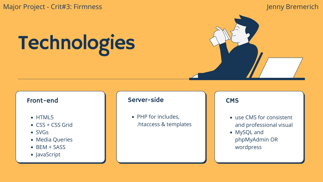#### Front-end

- HTML5
- CSS + CSS Grid
- SVGs
- Media Queries
- BEM + SASS
- JavaScript

• PHP for includes, .htaccess & templates



### **CMS**

Major Project - Crit#3: Firmness and the state of the state of the state of the state of the state of the state of the state of the state of the state of the state of the state of the state of the state of the state of the

# Technologies

#### Server-side

- use CMS for consistent and professional visual
- MySQL and phpMyAdmin OR wordpress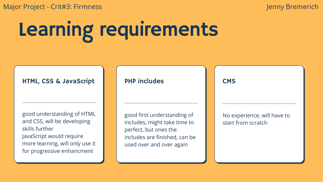# Learning requirements

good understanding of HTML and CSS, will be developing skills further JavaScript would require more learning, will only use it for progressive enhancment

#### HTML, CSS & JavaScript

good first understanding of includes, might take time to perfect, but ones the includes are finished, can be used over and over again

#### **CMS**

## PHP includes

No experience, will have to start from scratch